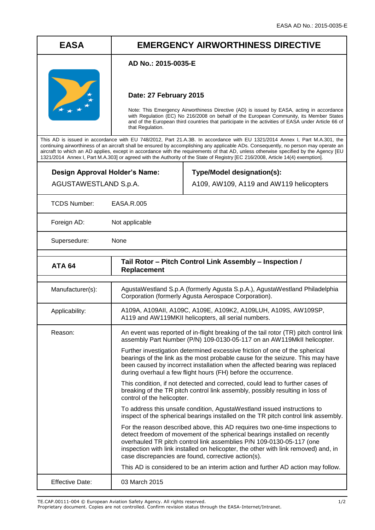## **EASA EMERGENCY AIRWORTHINESS DIRECTIVE**

## **AD No.: 2015-0035-E**



## **Date: 27 February 2015**

Note: This Emergency Airworthiness Directive (AD) is issued by EASA, acting in accordance with Regulation (EC) No 216/2008 on behalf of the European Community, its Member States and of the European third countries that participate in the activities of EASA under Article 66 of that Regulation.

This AD is issued in accordance with EU 748/2012, Part 21.A.3B. In accordance with EU 1321/2014 Annex I, Part M.A.301, the continuing airworthiness of an aircraft shall be ensured by accomplishing any applicable ADs. Consequently, no person may operate an aircraft to which an AD applies, except in accordance with the requirements of that AD, unless otherwise specified by the Agency [EU 1321/2014 Annex I, Part M.A.303] or agreed with the Authority of the State of Registry [EC 216/2008, Article 14(4) exemption].

| Design Approval Holder's Name:<br>AGUSTAWESTLAND S.p.A. |                                                                                                                                                                 | Type/Model designation(s):<br>A109, AW109, A119 and AW119 helicopters                                                                                                                                                                                                                                                                                                           |
|---------------------------------------------------------|-----------------------------------------------------------------------------------------------------------------------------------------------------------------|---------------------------------------------------------------------------------------------------------------------------------------------------------------------------------------------------------------------------------------------------------------------------------------------------------------------------------------------------------------------------------|
| <b>TCDS Number:</b>                                     | EASA.R.005                                                                                                                                                      |                                                                                                                                                                                                                                                                                                                                                                                 |
| Foreign AD:                                             | Not applicable                                                                                                                                                  |                                                                                                                                                                                                                                                                                                                                                                                 |
| Supersedure:                                            | None                                                                                                                                                            |                                                                                                                                                                                                                                                                                                                                                                                 |
| <b>ATA 64</b>                                           | Replacement                                                                                                                                                     | Tail Rotor - Pitch Control Link Assembly - Inspection /                                                                                                                                                                                                                                                                                                                         |
| Manufacturer(s):                                        |                                                                                                                                                                 | AgustaWestland S.p.A (formerly Agusta S.p.A.), AgustaWestland Philadelphia<br>Corporation (formerly Agusta Aerospace Corporation).                                                                                                                                                                                                                                              |
| Applicability:                                          | A109A, A109AII, A109C, A109E, A109K2, A109LUH, A109S, AW109SP,<br>A119 and AW119MKII helicopters, all serial numbers.                                           |                                                                                                                                                                                                                                                                                                                                                                                 |
| Reason:                                                 | An event was reported of in-flight breaking of the tail rotor (TR) pitch control link<br>assembly Part Number (P/N) 109-0130-05-117 on an AW119MkII helicopter. |                                                                                                                                                                                                                                                                                                                                                                                 |
|                                                         |                                                                                                                                                                 | Further investigation determined excessive friction of one of the spherical<br>bearings of the link as the most probable cause for the seizure. This may have<br>been caused by incorrect installation when the affected bearing was replaced<br>during overhaul a few flight hours (FH) before the occurrence.                                                                 |
|                                                         | control of the helicopter.                                                                                                                                      | This condition, if not detected and corrected, could lead to further cases of<br>breaking of the TR pitch control link assembly, possibly resulting in loss of                                                                                                                                                                                                                  |
|                                                         |                                                                                                                                                                 | To address this unsafe condition, AgustaWestland issued instructions to<br>inspect of the spherical bearings installed on the TR pitch control link assembly.                                                                                                                                                                                                                   |
|                                                         |                                                                                                                                                                 | For the reason described above, this AD requires two one-time inspections to<br>detect freedom of movement of the spherical bearings installed on recently<br>overhauled TR pitch control link assemblies P/N 109-0130-05-117 (one<br>inspection with link installed on helicopter, the other with link removed) and, in<br>case discrepancies are found, corrective action(s). |
|                                                         |                                                                                                                                                                 | This AD is considered to be an interim action and further AD action may follow.                                                                                                                                                                                                                                                                                                 |
| <b>Effective Date:</b>                                  | 03 March 2015                                                                                                                                                   |                                                                                                                                                                                                                                                                                                                                                                                 |

TE.CAP.00111-004 © European Aviation Safety Agency. All rights reserved. 1/2

Proprietary document. Copies are not controlled. Confirm revision status through the EASA-Internet/Intranet.